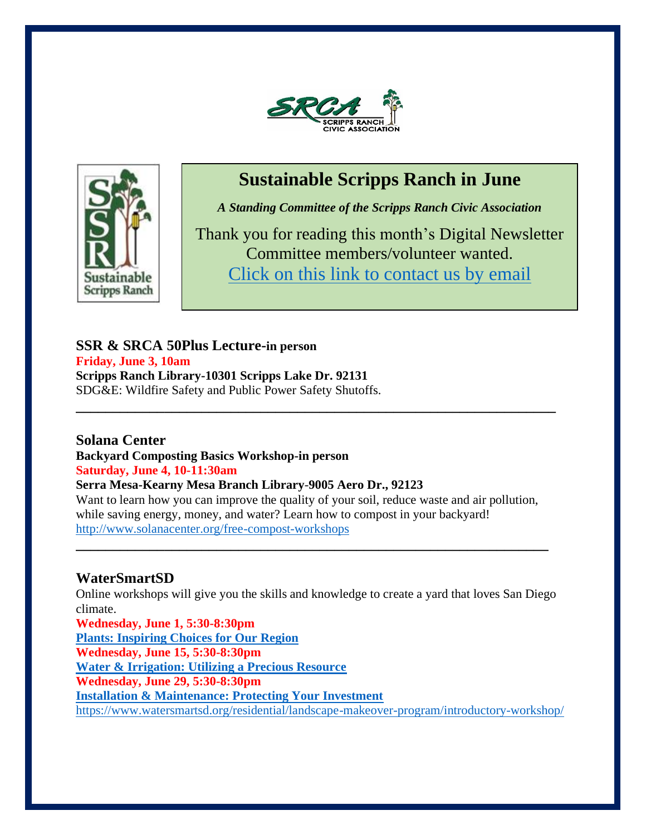



# **Sustainable Scripps Ranch in June**

*A Standing Committee of the Scripps Ranch Civic Association*

Thank you for reading this month's Digital Newsletter Committee members/volunteer wanted. Click on this link to contact us by email

**SSR & SRCA 50Plus Lecture-in person Friday, June 3, 10am Scripps Ranch Library-10301 Scripps Lake Dr. 92131** SDG&E: Wildfire Safety and Public Power Safety Shutoffs.

## **Solana Center**

**Backyard Composting Basics Workshop-in person Saturday, June 4, 10-11:30am**

**Serra Mesa-Kearny Mesa Branch Library**-**9005 Aero Dr., 92123** Want to learn how you can improve the quality of your soil, reduce waste and air pollution, while saving energy, money, and water? Learn how to compost in your backyard! http://www.solanacenter.org/free-compost-workshops

**\_\_\_\_\_\_\_\_\_\_\_\_\_\_\_\_\_\_\_\_\_\_\_\_\_\_\_\_\_\_\_\_\_\_\_\_\_\_\_\_\_\_\_\_\_\_\_\_\_\_\_\_\_\_\_\_\_\_\_\_\_\_\_\_**

**\_\_\_\_\_\_\_\_\_\_\_\_\_\_\_\_\_\_\_\_\_\_\_\_\_\_\_\_\_\_\_\_\_\_\_\_\_\_\_\_\_\_\_\_\_\_\_\_\_\_\_\_\_\_\_\_\_\_\_\_\_\_\_\_\_**

# **WaterSmartSD**

Online workshops will give you the skills and knowledge to create a yard that loves San Diego climate.

**Wednesday, June 1, 5:30-8:30pm Plants: Inspiring Choices for Our Region Wednesday, June 15, 5:30-8:30pm Water & Irrigation: Utilizing a Precious Resource Wednesday, June 29, 5:30-8:30pm Installation & Maintenance: Protecting Your Investment** https://www.watersmartsd.org/residential/landscape-makeover-program/introductory-workshop/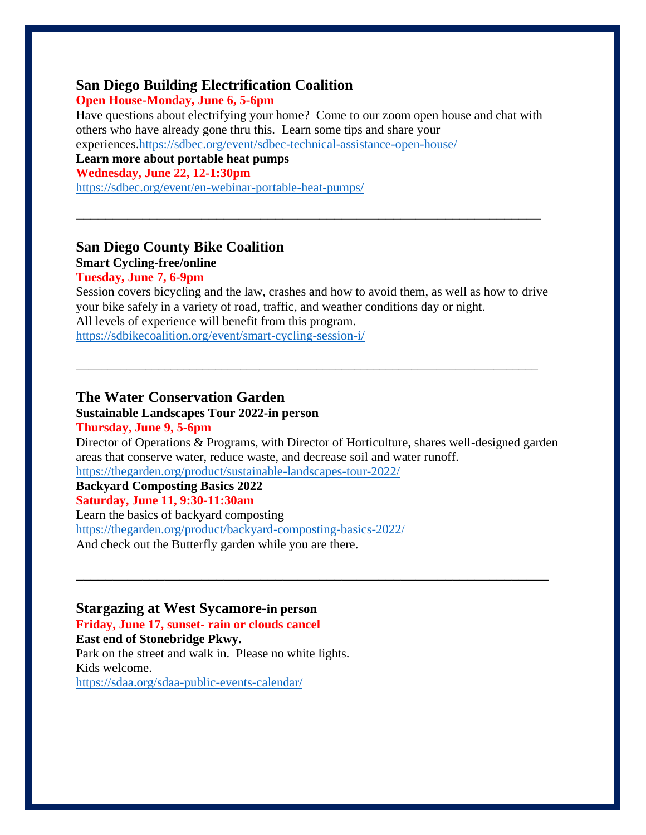#### **San Diego Building Electrification Coalition**

#### **Open House-Monday, June 6, 5-6pm**

Have questions about electrifying your home? Come to our zoom open house and chat with others who have already gone thru this. Learn some tips and share your experiences[.https://sdbec.org/event/sdbec-technical-assistance-open-house/](https://sdbec.org/event/sdbec-technical-assistance-open-house/)

**\_\_\_\_\_\_\_\_\_\_\_\_\_\_\_\_\_\_\_\_\_\_\_\_\_\_\_\_\_\_\_\_\_\_\_\_\_\_\_\_\_\_\_\_\_\_\_\_\_\_\_\_\_\_\_\_\_\_\_\_\_\_\_**

**Learn more about portable heat pumps**

**Wednesday, June 22, 12-1:30pm**

<https://sdbec.org/event/en-webinar-portable-heat-pumps/>

## **San Diego County Bike Coalition**

## **Smart Cycling-free/online**

#### **Tuesday, June 7, 6-9pm**

Session covers bicycling and the law, crashes and how to avoid them, as well as how to drive your bike safely in a variety of road, traffic, and weather conditions day or night. All levels of experience will benefit from this program. <https://sdbikecoalition.org/event/smart-cycling-session-i/>

\_\_\_\_\_\_\_\_\_\_\_\_\_\_\_\_\_\_\_\_\_\_\_\_\_\_\_\_\_\_\_\_\_\_\_\_\_\_\_\_\_\_\_\_\_\_\_\_\_\_\_\_\_\_\_\_\_\_\_\_\_\_\_\_\_\_\_\_\_\_\_\_\_

## **The Water Conservation Garden**

#### **Sustainable Landscapes Tour 2022-in person Thursday, June 9, 5-6pm**

Director of Operations & Programs, with Director of Horticulture, shares well-designed garden areas that conserve water, reduce waste, and decrease soil and water runoff.

**\_\_\_\_\_\_\_\_\_\_\_\_\_\_\_\_\_\_\_\_\_\_\_\_\_\_\_\_\_\_\_\_\_\_\_\_\_\_\_\_\_\_\_\_\_\_\_\_\_\_\_\_\_\_\_\_\_\_\_\_\_\_\_\_**

<https://thegarden.org/product/sustainable-landscapes-tour-2022/>

**Backyard Composting Basics 2022**

## **Saturday, June 11, 9:30-11:30am**

Learn the basics of backyard composting <https://thegarden.org/product/backyard-composting-basics-2022/> And check out the Butterfly garden while you are there.

#### **Stargazing at West Sycamore-in person**

**Friday, June 17, sunset- rain or clouds cancel East end of Stonebridge Pkwy.** Park on the street and walk in. Please no white lights. Kids welcome. <https://sdaa.org/sdaa-public-events-calendar/>